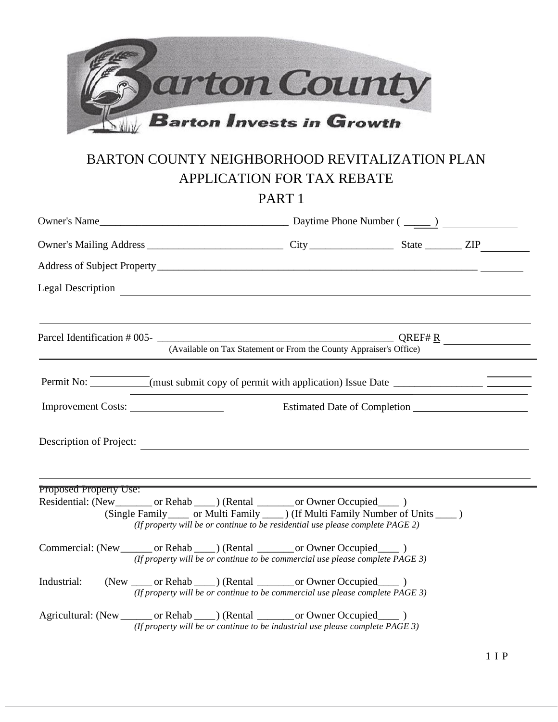

# BARTON COUNTY NEIGHBORHOOD REVITALIZATION PLAN APPLICATION FOR TAX REBATE

PART 1

| Legal Description Legal Order                                                                                                                                                                                                                           |                                                                                        |                                                                                 |  |  |
|---------------------------------------------------------------------------------------------------------------------------------------------------------------------------------------------------------------------------------------------------------|----------------------------------------------------------------------------------------|---------------------------------------------------------------------------------|--|--|
|                                                                                                                                                                                                                                                         |                                                                                        |                                                                                 |  |  |
| Parcel Identification # 005-<br>$QREF#R$ $QREF#R$ $QREF#R$ $QREF#R$ $QREF#R$ $QREF#R$ $QREF#R$ $QREF#R$ $QREF#R$ $QREF#R$ $QREF#R$ $QREF#R$ $QREF#R$ $QREF#R$ $QREF#R$ $QREF#R$ $QREF#R$ $QREF#R$ $QREF#R$ $QREF#R$ $QREF#R$ $QREF#R$ $QREF#R$ $QREF#R$ |                                                                                        | (Available on Tax Statement or From the County Appraiser's Office)              |  |  |
| Permit No: <u>Community Community of the Community of permit with application</u> Issue Date <u>Community Community Community Community Community Community Community Community Community Community Community Community Community Com</u>               |                                                                                        |                                                                                 |  |  |
|                                                                                                                                                                                                                                                         |                                                                                        |                                                                                 |  |  |
| Description of Project:                                                                                                                                                                                                                                 |                                                                                        |                                                                                 |  |  |
| Proposed Property Use:<br>Residential: (New ________ or Rehab ____ ) (Rental ______ or Owner Occupied ____ )                                                                                                                                            | (Single Family ______ or Multi Family _____ ) (If Multi Family Number of Units _____ ) | (If property will be or continue to be residential use please complete PAGE 2)  |  |  |
| Commercial: (New ________ or Rehab _____) (Rental ________ or Owner Occupied ______)                                                                                                                                                                    |                                                                                        | (If property will be or continue to be commercial use please complete $PAGE$ 3) |  |  |
| Industrial:                                                                                                                                                                                                                                             | (New _____ or Rehab _____ ) (Rental _______ or Owner Occupied _____ )                  | (If property will be or continue to be commercial use please complete $PAGE$ 3) |  |  |
| Agricultural: (New _______ or Rehab ____) (Rental _______ or Owner Occupied _____ )                                                                                                                                                                     |                                                                                        | (If property will be or continue to be industrial use please complete $PAGE$ 3) |  |  |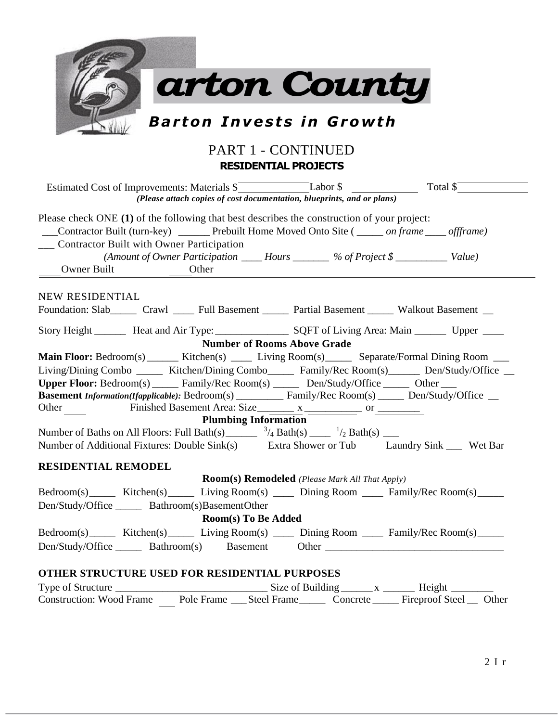

#### PART 1 - CONTINUED **RESIDENTIAL PROJECTS**

| (Please attach copies of cost documentation, blueprints, and or plans)                                                                                                                                                                                                                                                                                                                                                                                                                                                                                                                                                                                                                                        |
|---------------------------------------------------------------------------------------------------------------------------------------------------------------------------------------------------------------------------------------------------------------------------------------------------------------------------------------------------------------------------------------------------------------------------------------------------------------------------------------------------------------------------------------------------------------------------------------------------------------------------------------------------------------------------------------------------------------|
| Please check ONE (1) of the following that best describes the construction of your project:<br>___Contractor Built (turn-key) ________Prebuilt Home Moved Onto Site (______ on frame _____ offframe)<br><b>Contractor Built with Owner Participation</b><br>(Amount of Owner Participation ______ Hours _________ % of Project \$ ___________ Value)<br>Owner Built<br>Other                                                                                                                                                                                                                                                                                                                                  |
| NEW RESIDENTIAL<br>Foundation: Slab______ Crawl _____ Full Basement ______ Partial Basement _____ Walkout Basement __                                                                                                                                                                                                                                                                                                                                                                                                                                                                                                                                                                                         |
|                                                                                                                                                                                                                                                                                                                                                                                                                                                                                                                                                                                                                                                                                                               |
| <b>Number of Rooms Above Grade</b>                                                                                                                                                                                                                                                                                                                                                                                                                                                                                                                                                                                                                                                                            |
| Main Floor: Bedroom(s) _______ Kitchen(s) ______ Living Room(s) _______ Separate/Formal Dining Room ____<br>Living/Dining Combo _______ Kitchen/Dining Combo_______ Family/Rec Room(s)_______ Den/Study/Office __<br>Upper Floor: Bedroom(s) ______ Family/Rec Room(s) ______ Den/Study/Office ______ Other ____<br>Basement Information(Ifapplicable): Bedroom(s) _______ Family/Rec Room(s) ____ Den/Study/Office _<br>Other $\qquad$<br><b>Plumbing Information</b><br>Number of Baths on All Floors: Full Bath(s) ________ $\frac{3}{4}$ Bath(s) _____ $\frac{1}{2}$ Bath(s) ____<br>Number of Additional Fixtures: Double Sink(s) Extra Shower or Tub Laundry Sink Wet Bar<br><b>RESIDENTIAL REMODEL</b> |
| <b>Room(s) Remodeled</b> (Please Mark All That Apply)                                                                                                                                                                                                                                                                                                                                                                                                                                                                                                                                                                                                                                                         |
| Bedroom(s) Kitchen(s) Living Room(s) Dining Room Family/Rec Room(s)<br>Den/Study/Office ________ Bathroom(s)BasementOther<br>Room(s) To Be Added                                                                                                                                                                                                                                                                                                                                                                                                                                                                                                                                                              |
| Bedroom(s) Kitchen(s) Living Room(s) Dining Room Family/Rec Room(s)                                                                                                                                                                                                                                                                                                                                                                                                                                                                                                                                                                                                                                           |
| Den/Study/Office _______ Bathroom(s) Basement Other ____________________________                                                                                                                                                                                                                                                                                                                                                                                                                                                                                                                                                                                                                              |
| OTHER STRUCTURE USED FOR RESIDENTIAL PURPOSES                                                                                                                                                                                                                                                                                                                                                                                                                                                                                                                                                                                                                                                                 |
|                                                                                                                                                                                                                                                                                                                                                                                                                                                                                                                                                                                                                                                                                                               |
| Construction: Wood Frame Pole Frame _____ Steel Frame __________ Concrete ________ Fireproof Steel _____ Other                                                                                                                                                                                                                                                                                                                                                                                                                                                                                                                                                                                                |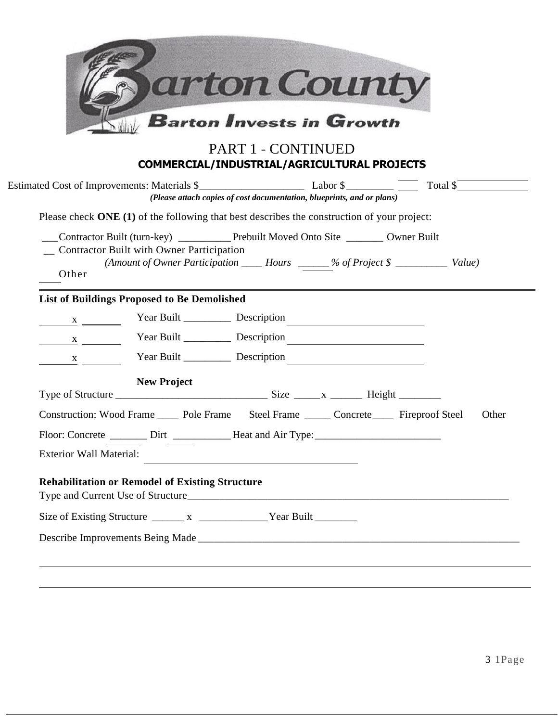|                                |                                                        | <b>Barton Invests in Growth</b><br>PART 1 - CONTINUED                                                                                                                             |
|--------------------------------|--------------------------------------------------------|-----------------------------------------------------------------------------------------------------------------------------------------------------------------------------------|
|                                |                                                        | COMMERCIAL/INDUSTRIAL/AGRICULTURAL PROJECTS<br>(Please attach copies of cost documentation, blueprints, and or plans)                                                             |
|                                |                                                        | Please check ONE (1) of the following that best describes the construction of your project:                                                                                       |
| Other                          | _ Contractor Built with Owner Participation            | Contractor Built (turn-key) _____________ Prebuilt Moved Onto Site _________ Owner Built<br>(Amount of Owner Participation _____ Hours ______% of Project \$ _____________ Value) |
|                                | <b>List of Buildings Proposed to Be Demolished</b>     |                                                                                                                                                                                   |
|                                |                                                        |                                                                                                                                                                                   |
|                                |                                                        |                                                                                                                                                                                   |
|                                |                                                        |                                                                                                                                                                                   |
| $\frac{X}{1}$                  |                                                        | Year Built _______________ Description                                                                                                                                            |
|                                | <b>New Project</b>                                     |                                                                                                                                                                                   |
|                                |                                                        | Construction: Wood Frame ______ Pole Frame ______ Steel Frame ______ Concrete ______ Fireproof Steel<br>Other                                                                     |
|                                |                                                        | Floor: Concrete ________ Dirt _____________Heat and Air Type:_                                                                                                                    |
| <b>Exterior Wall Material:</b> |                                                        |                                                                                                                                                                                   |
|                                | <b>Rehabilitation or Remodel of Existing Structure</b> |                                                                                                                                                                                   |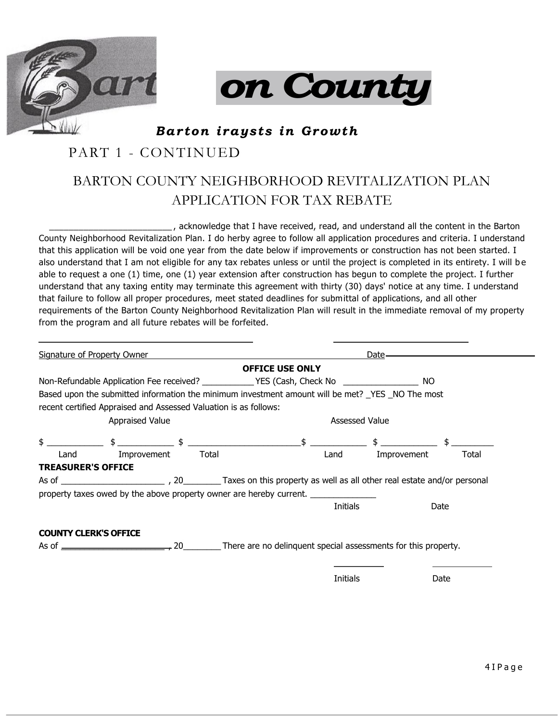



*Ba r ton i ray st s in G row th* 

### PART 1 - CONTINUED

## BARTON COUNTY NEIGHBORHOOD REVITALIZATION PLAN APPLICATION FOR TAX REBATE

\_\_\_\_\_\_\_\_\_\_\_\_\_\_\_\_\_\_\_\_\_\_\_\_\_ , acknowledge that I have received, read, and understand all the content in the Barton County Neighborhood Revitalization Plan. I do herby agree to follow all application procedures and criteria. I understand that this application will be void one year from the date below if improvements or construction has not been started. I also understand that I am not eligible for any tax rebates unless or until the project is completed in its entirety. I will be able to request a one (1) time, one (1) year extension after construction has begun to complete the project. I further understand that any taxing entity may terminate this agreement with thirty (30) days' notice at any time. I understand that failure to follow all proper procedures, meet stated deadlines for submittal of applications, and all other requirements of the Barton County Neighborhood Revitalization Plan will result in the immediate removal of my property from the program and all future rebates will be forfeited.

| <b>Signature of Property Owner</b> |                                                                  |  |       | Date-                                                                                                  |          |                                                                                                                                                                                                                                                                                                                     |       |  |
|------------------------------------|------------------------------------------------------------------|--|-------|--------------------------------------------------------------------------------------------------------|----------|---------------------------------------------------------------------------------------------------------------------------------------------------------------------------------------------------------------------------------------------------------------------------------------------------------------------|-------|--|
|                                    |                                                                  |  |       | <b>OFFICE USE ONLY</b>                                                                                 |          |                                                                                                                                                                                                                                                                                                                     |       |  |
|                                    |                                                                  |  |       | Non-Refundable Application Fee received? _____________YES (Cash, Check No _________________________ NO |          |                                                                                                                                                                                                                                                                                                                     |       |  |
|                                    | recent certified Appraised and Assessed Valuation is as follows: |  |       |                                                                                                        |          | Based upon the submitted information the minimum investment amount will be met? _YES _NO The most                                                                                                                                                                                                                   |       |  |
| Appraised Value                    |                                                                  |  |       | <b>Assessed Value</b>                                                                                  |          |                                                                                                                                                                                                                                                                                                                     |       |  |
|                                    |                                                                  |  |       |                                                                                                        |          | $\frac{1}{2}$ $\frac{1}{2}$ $\frac{1}{2}$ $\frac{1}{2}$ $\frac{1}{2}$ $\frac{1}{2}$ $\frac{1}{2}$ $\frac{1}{2}$ $\frac{1}{2}$ $\frac{1}{2}$ $\frac{1}{2}$ $\frac{1}{2}$ $\frac{1}{2}$ $\frac{1}{2}$ $\frac{1}{2}$ $\frac{1}{2}$ $\frac{1}{2}$ $\frac{1}{2}$ $\frac{1}{2}$ $\frac{1}{2}$ $\frac{1}{2}$ $\frac{1}{2}$ |       |  |
| Land                               | Improvement                                                      |  | Total |                                                                                                        | Land     | Improvement                                                                                                                                                                                                                                                                                                         | Total |  |
| <b>TREASURER'S OFFICE</b>          |                                                                  |  |       |                                                                                                        |          |                                                                                                                                                                                                                                                                                                                     |       |  |
|                                    |                                                                  |  |       |                                                                                                        |          |                                                                                                                                                                                                                                                                                                                     |       |  |
|                                    |                                                                  |  |       | property taxes owed by the above property owner are hereby current.                                    |          |                                                                                                                                                                                                                                                                                                                     |       |  |
|                                    |                                                                  |  |       |                                                                                                        | Initials |                                                                                                                                                                                                                                                                                                                     | Date  |  |
| <b>COUNTY CLERK'S OFFICE</b>       |                                                                  |  |       |                                                                                                        |          |                                                                                                                                                                                                                                                                                                                     |       |  |
|                                    |                                                                  |  |       |                                                                                                        |          |                                                                                                                                                                                                                                                                                                                     |       |  |
|                                    |                                                                  |  |       |                                                                                                        |          |                                                                                                                                                                                                                                                                                                                     |       |  |

Initials Date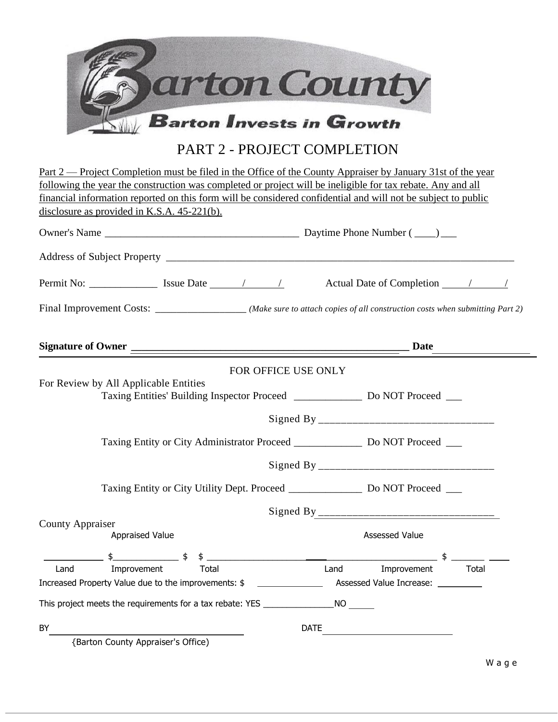

### PART 2 - PROJECT COMPLETION

|                                                                                                               | Part 2 — Project Completion must be filed in the Office of the County Appraiser by January 31st of the year                                                                                                                       |  |  |  |  |
|---------------------------------------------------------------------------------------------------------------|-----------------------------------------------------------------------------------------------------------------------------------------------------------------------------------------------------------------------------------|--|--|--|--|
| following the year the construction was completed or project will be ineligible for tax rebate. Any and all   |                                                                                                                                                                                                                                   |  |  |  |  |
| financial information reported on this form will be considered confidential and will not be subject to public |                                                                                                                                                                                                                                   |  |  |  |  |
| disclosure as provided in K.S.A. $45-221(b)$ .                                                                |                                                                                                                                                                                                                                   |  |  |  |  |
|                                                                                                               |                                                                                                                                                                                                                                   |  |  |  |  |
|                                                                                                               |                                                                                                                                                                                                                                   |  |  |  |  |
|                                                                                                               |                                                                                                                                                                                                                                   |  |  |  |  |
|                                                                                                               | Final Improvement Costs: _________________(Make sure to attach copies of all construction costs when submitting Part 2)                                                                                                           |  |  |  |  |
|                                                                                                               |                                                                                                                                                                                                                                   |  |  |  |  |
|                                                                                                               | FOR OFFICE USE ONLY                                                                                                                                                                                                               |  |  |  |  |
| For Review by All Applicable Entities                                                                         |                                                                                                                                                                                                                                   |  |  |  |  |
|                                                                                                               | Taxing Entities' Building Inspector Proceed ______________ Do NOT Proceed ___                                                                                                                                                     |  |  |  |  |
|                                                                                                               |                                                                                                                                                                                                                                   |  |  |  |  |
|                                                                                                               |                                                                                                                                                                                                                                   |  |  |  |  |
|                                                                                                               | Taxing Entity or City Administrator Proceed _______________ Do NOT Proceed ___                                                                                                                                                    |  |  |  |  |
|                                                                                                               |                                                                                                                                                                                                                                   |  |  |  |  |
| Taxing Entity or City Utility Dept. Proceed ________________ Do NOT Proceed ___                               |                                                                                                                                                                                                                                   |  |  |  |  |
|                                                                                                               |                                                                                                                                                                                                                                   |  |  |  |  |
| <b>County Appraiser</b>                                                                                       |                                                                                                                                                                                                                                   |  |  |  |  |
| Appraised Value                                                                                               | Assessed Value                                                                                                                                                                                                                    |  |  |  |  |
| $\frac{1}{2}$ $\frac{1}{2}$ $\frac{1}{2}$ $\frac{1}{2}$ $\frac{1}{2}$                                         | and the state of the state of the state of the state of the state of the state of the state of the state of the<br>The state of the state of the state of the state of the state of the state of the state of the state of the st |  |  |  |  |
| Land<br>Improvement<br>Total                                                                                  | Land<br>Improvement<br>Total                                                                                                                                                                                                      |  |  |  |  |
| Increased Property Value due to the improvements: \$                                                          | Assessed Value Increase: __________                                                                                                                                                                                               |  |  |  |  |
| This project meets the requirements for a tax rebate: YES _______________________ NO                          |                                                                                                                                                                                                                                   |  |  |  |  |
| BY                                                                                                            | <b>DATE</b><br><u> 1989 - Johann Barn, fransk politik (</u>                                                                                                                                                                       |  |  |  |  |
| {Barton County Appraiser's Office)                                                                            |                                                                                                                                                                                                                                   |  |  |  |  |